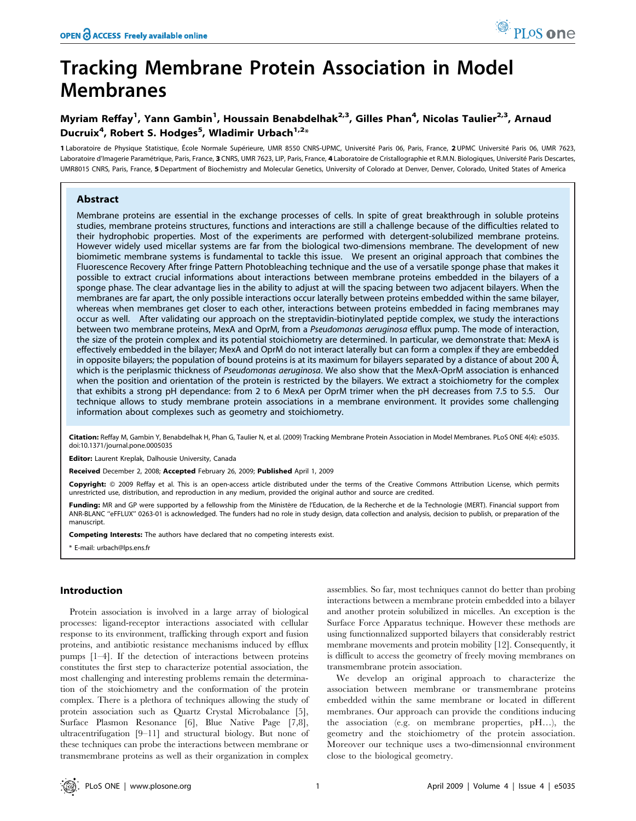# Tracking Membrane Protein Association in Model Membranes

## Myriam Reffay<sup>1</sup>, Yann Gambin<sup>1</sup>, Houssain Benabdelhak<sup>2,3</sup>, Gilles Phan<sup>4</sup>, Nicolas Taulier<sup>2,3</sup>, Arnaud Ducruix<sup>4</sup>, Robert S. Hodges<sup>5</sup>, Wladimir Urbach<sup>1,2</sup>\*

1 Laboratoire de Physique Statistique, École Normale Supérieure, UMR 8550 CNRS-UPMC, Université Paris 06, Paris, France, 2 UPMC Université Paris 06, UMR 7623, Laboratoire d'Imagerie Paramétrique, Paris, France, 3 CNRS, UMR 7623, LIP, Paris, France, 4 Laboratoire de Cristallographie et R.M.N. Biologiques, Université Paris Descartes, UMR8015 CNRS, Paris, France, 5 Department of Biochemistry and Molecular Genetics, University of Colorado at Denver, Denver, Colorado, United States of America

## Abstract

Membrane proteins are essential in the exchange processes of cells. In spite of great breakthrough in soluble proteins studies, membrane proteins structures, functions and interactions are still a challenge because of the difficulties related to their hydrophobic properties. Most of the experiments are performed with detergent-solubilized membrane proteins. However widely used micellar systems are far from the biological two-dimensions membrane. The development of new biomimetic membrane systems is fundamental to tackle this issue. We present an original approach that combines the Fluorescence Recovery After fringe Pattern Photobleaching technique and the use of a versatile sponge phase that makes it possible to extract crucial informations about interactions between membrane proteins embedded in the bilayers of a sponge phase. The clear advantage lies in the ability to adjust at will the spacing between two adjacent bilayers. When the membranes are far apart, the only possible interactions occur laterally between proteins embedded within the same bilayer, whereas when membranes get closer to each other, interactions between proteins embedded in facing membranes may occur as well. After validating our approach on the streptavidin-biotinylated peptide complex, we study the interactions between two membrane proteins, MexA and OprM, from a Pseudomonas aeruginosa efflux pump. The mode of interaction, the size of the protein complex and its potential stoichiometry are determined. In particular, we demonstrate that: MexA is effectively embedded in the bilayer; MexA and OprM do not interact laterally but can form a complex if they are embedded in opposite bilayers; the population of bound proteins is at its maximum for bilayers separated by a distance of about 200 Å, which is the periplasmic thickness of Pseudomonas aeruginosa. We also show that the MexA-OprM association is enhanced when the position and orientation of the protein is restricted by the bilayers. We extract a stoichiometry for the complex that exhibits a strong pH dependance: from 2 to 6 MexA per OprM trimer when the pH decreases from 7.5 to 5.5. Our technique allows to study membrane protein associations in a membrane environment. It provides some challenging information about complexes such as geometry and stoichiometry.

Citation: Reffay M, Gambin Y, Benabdelhak H, Phan G, Taulier N, et al. (2009) Tracking Membrane Protein Association in Model Membranes. PLoS ONE 4(4): e5035. doi:10.1371/journal.pone.0005035

Editor: Laurent Kreplak, Dalhousie University, Canada

Received December 2, 2008; Accepted February 26, 2009; Published April 1, 2009

Copyright: @ 2009 Reffay et al. This is an open-access article distributed under the terms of the Creative Commons Attribution License, which permits unrestricted use, distribution, and reproduction in any medium, provided the original author and source are credited.

Funding: MR and GP were supported by a fellowship from the Ministère de l'Education, de la Recherche et de la Technologie (MERT). Financial support from ANR-BLANC ''eFFLUX'' 0263-01 is acknowledged. The funders had no role in study design, data collection and analysis, decision to publish, or preparation of the manuscript.

Competing Interests: The authors have declared that no competing interests exist.

\* E-mail: urbach@lps.ens.fr

## Introduction

Protein association is involved in a large array of biological processes: ligand-receptor interactions associated with cellular response to its environment, trafficking through export and fusion proteins, and antibiotic resistance mechanisms induced by efflux pumps [1–4]. If the detection of interactions between proteins constitutes the first step to characterize potential association, the most challenging and interesting problems remain the determination of the stoichiometry and the conformation of the protein complex. There is a plethora of techniques allowing the study of protein association such as Quartz Crystal Microbalance [5], Surface Plasmon Resonance [6], Blue Native Page [7,8], ultracentrifugation [9–11] and structural biology. But none of these techniques can probe the interactions between membrane or transmembrane proteins as well as their organization in complex

assemblies. So far, most techniques cannot do better than probing interactions between a membrane protein embedded into a bilayer and another protein solubilized in micelles. An exception is the Surface Force Apparatus technique. However these methods are using functionnalized supported bilayers that considerably restrict membrane movements and protein mobility [12]. Consequently, it is difficult to access the geometry of freely moving membranes on transmembrane protein association.

We develop an original approach to characterize the association between membrane or transmembrane proteins embedded within the same membrane or located in different membranes. Our approach can provide the conditions inducing the association (e.g. on membrane properties, pH…), the geometry and the stoichiometry of the protein association. Moreover our technique uses a two-dimensionnal environment close to the biological geometry.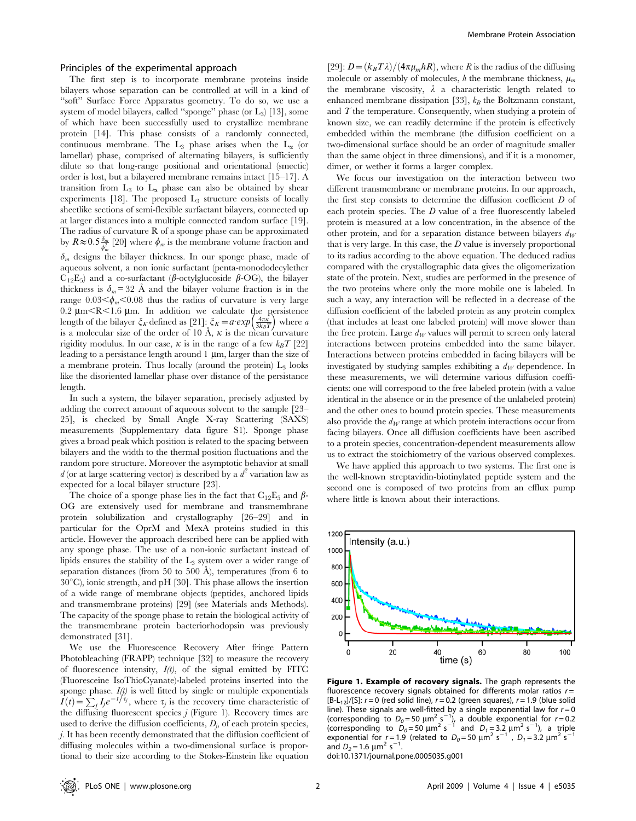#### Principles of the experimental approach

The first step is to incorporate membrane proteins inside bilayers whose separation can be controlled at will in a kind of ''soft'' Surface Force Apparatus geometry. To do so, we use a system of model bilayers, called "sponge" phase (or  $L_3$ ) [13], some of which have been successfully used to crystallize membrane protein [14]. This phase consists of a randomly connected, continuous membrane. The  $L_3$  phase arises when the  $L_{\alpha}$  (or lamellar) phase, comprised of alternating bilayers, is sufficiently dilute so that long-range positional and orientational (smectic) order is lost, but a bilayered membrane remains intact [15–17]. A transition from  $L_3$  to  $L_{\alpha}$  phase can also be obtained by shear experiments  $[18]$ . The proposed  $L_3$  structure consists of locally sheetlike sections of semi-flexible surfactant bilayers, connected up at larger distances into a multiple connected random surface [19]. The radius of curvature R of a sponge phase can be approximated by  $R \approx 0.5 \frac{\delta_m}{\phi_m^2}$  [20] where  $\phi_m$  is the membrane volume fraction and

 $\delta_m$  designs the bilayer thickness. In our sponge phase, made of aqueous solvent, a non ionic surfactant (penta-monododecylether  $C_{12}E_5$ ) and a co-surfactant ( $\beta$ -octylglucoside  $\beta$ -OG), the bilayer thickness is  $\delta_m = 32$  Å and the bilayer volume fraction is in the range  $0.03<\phi_m<0.08$  thus the radius of curvature is very large  $0.2 \, \mu m < R < 1.6 \, \mu m$ . In addition we calculate the persistence length of the bilayer  $\xi_K$  defined as [21]:  $\xi_K = a \exp\left(\frac{4\pi\kappa}{3k_BT}\right)$  where a is a molecular size of the order of 10 Å,  $\kappa$  is the mean curvature rigidity modulus. In our case,  $\kappa$  is in the range of a few  $k_BT$  [22] leading to a persistance length around  $1 \mu m$ , larger than the size of a membrane protein. Thus locally (around the protein)  $L_3$  looks like the disoriented lamellar phase over distance of the persistance length.

In such a system, the bilayer separation, precisely adjusted by adding the correct amount of aqueous solvent to the sample [23– 25], is checked by Small Angle X-ray Scattering (SAXS) measurements (Supplementary data figure S1). Sponge phase gives a broad peak which position is related to the spacing between bilayers and the width to the thermal position fluctuations and the random pore structure. Moreover the asymptotic behavior at small  $d$  (or at large scattering vector) is described by a  $d^2$  variation law as expected for a local bilayer structure [23].

The choice of a sponge phase lies in the fact that  $C_{12}E_5$  and  $\beta$ -OG are extensively used for membrane and transmembrane protein solubilization and crystallography [26–29] and in particular for the OprM and MexA proteins studied in this article. However the approach described here can be applied with any sponge phase. The use of a non-ionic surfactant instead of lipids ensures the stability of the  $L_3$  system over a wider range of separation distances (from 50 to 500  $\AA$ ), temperatures (from 6 to  $30^{\circ}$ C), ionic strength, and pH [30]. This phase allows the insertion of a wide range of membrane objects (peptides, anchored lipids and transmembrane proteins) [29] (see Materials ands Methods). The capacity of the sponge phase to retain the biological activity of the transmembrane protein bacteriorhodopsin was previously demonstrated [31].

We use the Fluorescence Recovery After fringe Pattern Photobleaching (FRAPP) technique [32] to measure the recovery of fluorescence intensity,  $I(t)$ , of the signal emitted by FITC (Fluoresceine IsoThioCyanate)-labeled proteins inserted into the sponge phase.  $I(t)$  is well fitted by single or multiple exponentials If  $I(t) = \sum_j I_j e^{-t/\tau_j}$ , where  $\tau_j$  is the recovery time characteristic of the diffusing fluorescent species  $j$  (Figure 1). Recovery times are used to derive the diffusion coefficients,  $D_j$ , of each protein species, j. It has been recently demonstrated that the diffusion coefficient of diffusing molecules within a two-dimensional surface is proportional to their size according to the Stokes-Einstein like equation

[29]:  $D = (k_B T \lambda) / (4 \pi \mu_m hR)$ , where R is the radius of the diffusing molecule or assembly of molecules, h the membrane thickness,  $\mu_m$ the membrane viscosity,  $\lambda$  a characteristic length related to enhanced membrane dissipation [33],  $k_B$  the Boltzmann constant, and  $T$  the temperature. Consequently, when studying a protein of known size, we can readily determine if the protein is effectively embedded within the membrane (the diffusion coefficient on a two-dimensional surface should be an order of magnitude smaller than the same object in three dimensions), and if it is a monomer, dimer, or wether it forms a larger complex.

We focus our investigation on the interaction between two different transmembrane or membrane proteins. In our approach, the first step consists to determine the diffusion coefficient  $D$  of each protein species. The D value of a free fluorescently labeled protein is measured at a low concentration, in the absence of the other protein, and for a separation distance between bilayers  $d_W$ that is very large. In this case, the  $D$  value is inversely proportional to its radius according to the above equation. The deduced radius compared with the crystallographic data gives the oligomerization state of the protein. Next, studies are performed in the presence of the two proteins where only the more mobile one is labeled. In such a way, any interaction will be reflected in a decrease of the diffusion coefficient of the labeled protein as any protein complex (that includes at least one labeled protein) will move slower than the free protein. Large  $d_W$  values will permit to screen only lateral interactions between proteins embedded into the same bilayer. Interactions between proteins embedded in facing bilayers will be investigated by studying samples exhibiting a  $d_W$  dependence. In these measurements, we will determine various diffusion coefficients: one will correspond to the free labeled protein (with a value identical in the absence or in the presence of the unlabeled protein) and the other ones to bound protein species. These measurements also provide the  $d_W$  range at which protein interactions occur from facing bilayers. Once all diffusion coefficients have been ascribed to a protein species, concentration-dependent measurements allow us to extract the stoichiometry of the various observed complexes.

We have applied this approach to two systems. The first one is the well-known streptavidin-biotinylated peptide system and the second one is composed of two proteins from an efflux pump where little is known about their interactions.



Figure 1. Example of recovery signals. The graph represents the fluorescence recovery signals obtained for differents molar ratios  $r =$  $[B-L_{12}]/[S]$ :  $r = 0$  (red solid line),  $r = 0.2$  (green squares),  $r = 1.9$  (blue solid line). These signals are well-fitted by a single exponential law for  $r = 0$ (corresponding to  $D_0 = 50 \text{ }\mu\text{m}^2 \text{ s}^{-1}$ ), a double exponential for  $r = 0.2$ <br>(corresponding to  $D_0 = 50 \text{ }\mu\text{m}^2 \text{ s}^{-1}$  and  $D_1 = 3.2 \text{ }\mu\text{m}^2 \text{ s}^{-1}$ ), a triple exponential for  $r = 1.9$  (related to  $D_0 = 50 \mu m^2 s^{-1}$ ,  $D_1 = 3.2 \mu m^2 s^{-1}$ and  $D_2 = 1.6 \ \mu m^2 s^{-1}$ .

doi:10.1371/journal.pone.0005035.g001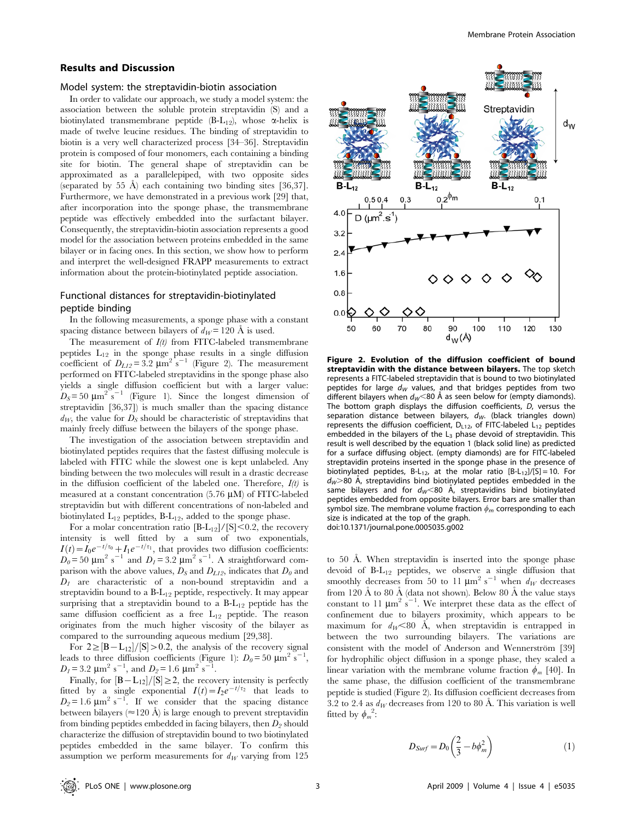#### Results and Discussion

#### Model system: the streptavidin-biotin association

In order to validate our approach, we study a model system: the association between the soluble protein streptavidin (S) and a biotinylated transmembrane peptide  $(B-L_{12})$ , whose  $\alpha$ -helix is made of twelve leucine residues. The binding of streptavidin to biotin is a very well characterized process [34–36]. Streptavidin protein is composed of four monomers, each containing a binding site for biotin. The general shape of streptavidin can be approximated as a parallelepiped, with two opposite sides (separated by 55  $\AA$ ) each containing two binding sites [36,37]. Furthermore, we have demonstrated in a previous work [29] that, after incorporation into the sponge phase, the transmembrane peptide was effectively embedded into the surfactant bilayer. Consequently, the streptavidin-biotin association represents a good model for the association between proteins embedded in the same bilayer or in facing ones. In this section, we show how to perform and interpret the well-designed FRAPP measurements to extract information about the protein-biotinylated peptide association.

## Functional distances for streptavidin-biotinylated peptide binding

In the following measurements, a sponge phase with a constant spacing distance between bilayers of  $d_W = 120$  Å is used.

The measurement of  $I(t)$  from FITC-labeled transmembrane peptides  $L_{12}$  in the sponge phase results in a single diffusion coefficient of  $D_{L12} = 3.2 \text{ }\mu\text{m}^2 \text{ s}^{-1}$  (Figure 2). The measurement performed on FITC-labeled streptavidins in the sponge phase also yields a single diffusion coefficient but with a larger value:  $D_S = 50 \text{ }\mu\text{m}^2 \text{ s}^{-1}$  (Figure 1). Since the longest dimension of streptavidin [36,37]) is much smaller than the spacing distance  $d_W$ , the value for  $D_S$  should be characteristic of streptavidins that mainly freely diffuse between the bilayers of the sponge phase.

The investigation of the association between streptavidin and biotinylated peptides requires that the fastest diffusing molecule is labeled with FITC while the slowest one is kept unlabeled. Any binding between the two molecules will result in a drastic decrease in the diffusion coefficient of the labeled one. Therefore,  $I(t)$  is measured at a constant concentration  $(5.76 \mu M)$  of FITC-labeled streptavidin but with different concentrations of non-labeled and biotinylated  $L_{12}$  peptides,  $B-L_{12}$ , added to the sponge phase.

For a molar concentration ratio  $[B-L_{12}]/[S] < 0.2$ , the recovery intensity is well fitted by a sum of two exponentials,  $I(t) = I_0 e^{-t/\tau_0} + I_1 e^{-t/\tau_1}$ , that provides two diffusion coefficients:  $D_0 = 50 \text{ }\mu\text{m}^2 \text{ s}^{-1}$  and  $D_1 = 3.2 \text{ }\mu\text{m}^2 \text{ s}^{-1}$ . A straightforward comparison with the above values,  $D_S$  and  $D_{L12}$ , indicates that  $D_0$  and  $D_1$  are characteristic of a non-bound streptavidin and a streptavidin bound to a B-L12 peptide, respectively. It may appear surprising that a streptavidin bound to a  $B-L_{12}$  peptide has the same diffusion coefficient as a free  $L_{12}$  peptide. The reason originates from the much higher viscosity of the bilayer as compared to the surrounding aqueous medium [29,38].

For  $2 \geq |B-L_{12}|/|S| > 0.2$ , the analysis of the recovery signal leads to three diffusion coefficients (Figure 1):  $D_0 = 50 \text{ }\mu\text{m}^2 \text{ s}^{-1}$ ,  $D_1 = 3.2 \text{ }\mu\text{m}^2 \text{ s}^{-1}$ , and  $D_2 = 1.6 \text{ }\mu\text{m}^2 \text{ s}^{-1}$ .

Finally, for  $[B - L_{12}]/[S] \geq 2$ , the recovery intensity is perfectly fitted by a single exponential  $I(t) = I_2e^{-t/\tau_2}$  that leads to  $D_2 = 1.6 \mu m^2 s^{-1}$ . If we consider that the spacing distance between bilayers ( $\approx$ 120 Å) is large enough to prevent streptavidin from binding peptides embedded in facing bilayers, then  $D_2$  should characterize the diffusion of streptavidin bound to two biotinylated peptides embedded in the same bilayer. To confirm this assumption we perform measurements for  $d_W$  varying from 125



Figure 2. Evolution of the diffusion coefficient of bound streptavidin with the distance between bilayers. The top sketch represents a FITC-labeled streptavidin that is bound to two biotinylated peptides for large  $d_W$  values, and that bridges peptides from two different bilayers when  $d<sub>W</sub>$ <80 Å as seen below for (empty diamonds). The bottom graph displays the diffusion coefficients, D, versus the separation distance between bilayers,  $d_W$ . (black triangles down) represents the diffusion coefficient,  $D_{L12}$ , of FITC-labeled  $L_{12}$  peptides embedded in the bilayers of the  $L_3$  phase devoid of streptavidin. This result is well described by the equation 1 (black solid line) as predicted for a surface diffusing object. (empty diamonds) are for FITC-labeled streptavidin proteins inserted in the sponge phase in the presence of biotinylated peptides, B-L<sub>12</sub>, at the molar ratio  $[B-L_{12}]/[S] = 10$ . For  $d_W$  80 Å, streptavidins bind biotinylated peptides embedded in the same bilayers and for  $d_W$ <80 Å, streptavidins bind biotinylated peptides embedded from opposite bilayers. Error bars are smaller than symbol size. The membrane volume fraction  $\phi_m$  corresponding to each size is indicated at the top of the graph. doi:10.1371/journal.pone.0005035.g002

to 50 Å. When streptavidin is inserted into the sponge phase devoid of B-L12 peptides, we observe a single diffusion that smoothly decreases from 50 to 11  $\mu$ m<sup>2</sup> s<sup>-1</sup> when  $d_W$  decreases from 120 Å to 80 Å (data not shown). Below 80 Å the value stays constant to 11  $\mu$ m<sup>2</sup> s<sup>-1</sup>. We interpret these data as the effect of confinement due to bilayers proximity, which appears to be maximum for  $d_W < 80$  Å, when streptavidin is entrapped in between the two surrounding bilayers. The variations are consistent with the model of Anderson and Wennerström [39] for hydrophilic object diffusion in a sponge phase, they scaled a linear variation with the membrane volume fraction  $\phi_m$  [40]. In the same phase, the diffusion coefficient of the transmembrane peptide is studied (Figure 2). Its diffusion coefficient decreases from 3.2 to 2.4 as  $d_W$  decreases from 120 to 80 Å. This variation is well fitted by  $\phi_m^2$ :

$$
D_{Surf} = D_0 \left(\frac{2}{3} - b\phi_m^2\right) \tag{1}
$$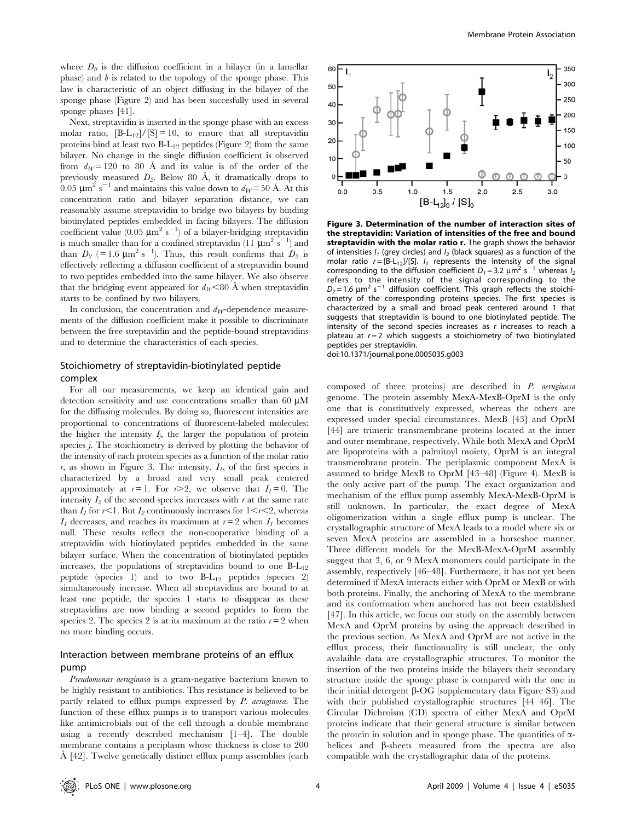where  $D_{\theta}$  is the diffusion coefficient in a bilayer (in a lamellar phase) and  $b$  is related to the topology of the sponge phase. This law is characteristic of an object diffusing in the bilayer of the sponge phase (Figure 2) and has been succesfully used in several sponge phases [41].

Next, streptavidin is inserted in the sponge phase with an excess molar ratio,  $[B-L_{12}]/[S] = 10$ , to ensure that all streptavidin proteins bind at least two  $B-L_{12}$  peptides (Figure 2) from the same bilayer. No change in the single diffusion coefficient is observed from  $d_W = 120$  to 80 Å and its value is of the order of the previously measured  $D_2$ . Below 80 Å, it dramatically drops to 0.05  $\mu$ m<sup>2</sup> s<sup>-1</sup> and maintains this value down to  $d_W = 50$  Å. At this concentration ratio and bilayer separation distance, we can reasonably assume streptavidin to bridge two bilayers by binding biotinylated peptides embedded in facing bilayers. The diffusion coefficient value (0.05  $\mu$ m<sup>2</sup> s<sup>-1</sup>) of a bilayer-bridging streptavidin is much smaller than for a confined streptavidin (11  $\mu$ m<sup>2</sup> s<sup>-1</sup>) and than  $D_2$  (= 1.6  $\mu$ m<sup>2</sup> s<sup>-1</sup>). Thus, this result confirms that  $D_2$  is effectively reflecting a diffusion coefficient of a streptavidin bound to two peptides embedded into the same bilayer. We also observe that the bridging event appeared for  $d_W < 80$  Å when streptavidin starts to be confined by two bilayers.

In conclusion, the concentration and  $d_W$ -dependence measurements of the diffusion coefficient make it possible to discriminate between the free streptavidin and the peptide-bound streptavidins and to determine the characteristics of each species.

## Stoichiometry of streptavidin-biotinylated peptide complex

For all our measurements, we keep an identical gain and detection sensitivity and use concentrations smaller than 60  $\mu$ M for the diffusing molecules. By doing so, fluorescent intensities are proportional to concentrations of fluorescent-labeled molecules: the higher the intensity  $I_j$ , the larger the population of protein species *j*. The stoichiometry is derived by plotting the behavior of the intensity of each protein species as a function of the molar ratio r, as shown in Figure 3. The intensity,  $I<sub>I</sub>$ , of the first species is characterized by a broad and very small peak centered approximately at  $r=1$ . For  $r>2$ , we observe that  $I_1=0$ . The intensity  $I_2$  of the second species increases with r at the same rate than  $I_1$  for  $r<1$ . But  $I_2$  continuously increases for  $1 \leq r \leq 2$ , whereas  $I_1$  decreases, and reaches its maximum at  $r=2$  when  $I_1$  becomes null. These results reflect the non-cooperative binding of a streptavidin with biotinylated peptides embedded in the same bilayer surface. When the concentration of biotinylated peptides increases, the populations of streptavidins bound to one  $B-L_{12}$ peptide (species 1) and to two  $B-L_{12}$  peptides (species 2) simultaneously increase. When all streptavidins are bound to at least one peptide, the species 1 starts to disappear as these streptavidins are now binding a second peptides to form the species 2. The species 2 is at its maximum at the ratio  $r=2$  when no more binding occurs.

## Interaction between membrane proteins of an efflux pump

Pseudomonas aeruginosa is a gram-negative bacterium known to be highly resistant to antibiotics. This resistance is believed to be partly related to efflux pumps expressed by P. aeruginosa. The function of these efflux pumps is to transport various molecules like antimicrobials out of the cell through a double membrane using a recently described mechanism [1–4]. The double membrane contains a periplasm whose thickness is close to 200  $\AA$  [42]. Twelve genetically distinct efflux pump assemblies (each



Figure 3. Determination of the number of interaction sites of the streptavidin: Variation of intensities of the free and bound streptavidin with the molar ratio r. The graph shows the behavior of intensities  $I_1$  (grey circles) and  $I_2$  (black squares) as a function of the molar ratio  $r = [B-L_{12}]/[S]$ .  $I_1$  represents the intensity of the signal corresponding to the diffusion coefficient  $D_1 = 3.2 \mu m^2 s^{-1}$  whereas  $I_2$ refers to the intensity of the signal corresponding to the  $D_2$  = 1.6  $\mu$ m<sup>2</sup> s<sup>-1</sup> diffusion coefficient. This graph reflects the stoichiometry of the corresponding proteins species. The first species is characterized by a small and broad peak centered around 1 that suggests that streptavidin is bound to one biotinylated peptide. The intensity of the second species increases as r increases to reach a plateau at  $r = 2$  which suggests a stoichiometry of two biotinylated peptides per streptavidin.

doi:10.1371/journal.pone.0005035.g003

composed of three proteins) are described in P. aeruginosa genome. The protein assembly MexA-MexB-OprM is the only one that is constitutively expressed, whereas the others are expressed under special circumstances. MexB [43] and OprM [44] are trimeric transmembrane proteins located at the inner and outer membrane, respectively. While both MexA and OprM are lipoproteins with a palmitoyl moiety, OprM is an integral transmembrane protein. The periplasmic component MexA is assumed to bridge MexB to OprM [43–48] (Figure 4). MexB is the only active part of the pump. The exact organization and mechanism of the efflux pump assembly MexA-MexB-OprM is still unknown. In particular, the exact degree of MexA oligomerization within a single efflux pump is unclear. The crystallographic structure of MexA leads to a model where six or seven MexA proteins are assembled in a horseshoe manner. Three different models for the MexB-MexA-OprM assembly suggest that 3, 6, or 9 MexA monomers could participate in the assembly, respectively [46–48]. Furthermore, it has not yet been determined if MexA interacts either with OprM or MexB or with both proteins. Finally, the anchoring of MexA to the membrane and its conformation when anchored has not been established [47]. In this article, we focus our study on the assembly between MexA and OprM proteins by using the approach described in the previous section. As MexA and OprM are not active in the efflux process, their functionnality is still unclear, the only avalaible data are crystallographic structures. To monitor the insertion of the two proteins inside the bilayers their secondary structure inside the sponge phase is compared with the one in their initial detergent  $\beta$ -OG (supplementary data Figure S3) and with their published crystallographic structures [44–46]. The Circular Dichroism (CD) spectra of either MexA and OprM proteins indicate that their general structure is similar between the protein in solution and in sponge phase. The quantities of  $\alpha$ helices and  $\beta$ -sheets measured from the spectra are also compatible with the crystallographic data of the proteins.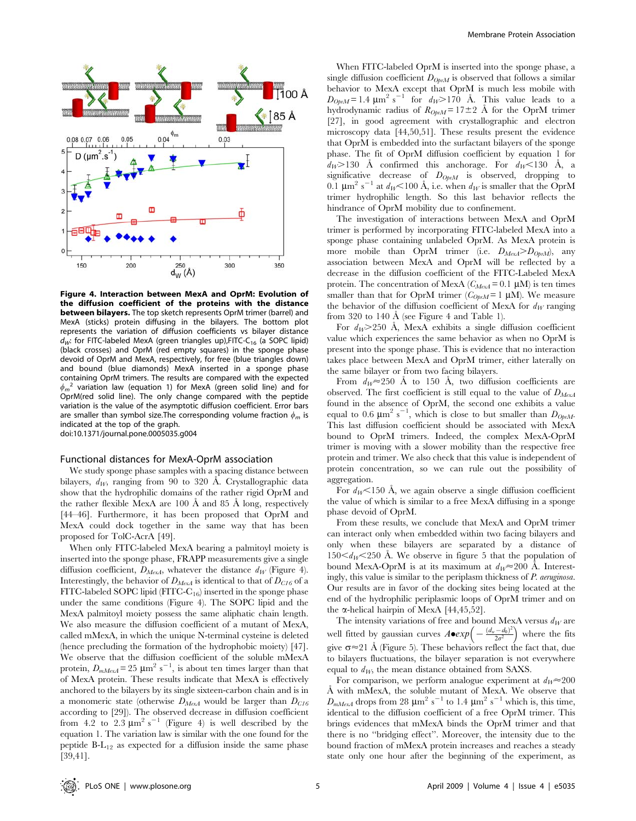

Figure 4. Interaction between MexA and OprM: Evolution of the diffusion coefficient of the proteins with the distance **between bilayers.** The top sketch represents OprM trimer (barrel) and MexA (sticks) protein diffusing in the bilayers. The bottom plot represents the variation of diffusion coefficients vs bilayer distance  $d_W$ : for FITC-labeled MexA (green triangles up), FITC-C<sub>16</sub> (a SOPC lipid) (black crosses) and OprM (red empty squares) in the sponge phase devoid of OprM and MexA, respectively, for free (blue triangles down) and bound (blue diamonds) MexA inserted in a sponge phase containing OprM trimers. The results are compared with the expected  $\phi_m^2$  variation law (equation 1) for MexA (green solid line) and for OprM(red solid line). The only change compared with the peptide variation is the value of the asymptotic diffusion coefficient. Error bars are smaller than symbol size. The corresponding volume fraction  $\phi_m$  is indicated at the top of the graph. doi:10.1371/journal.pone.0005035.g004

#### Functional distances for MexA-OprM association

We study sponge phase samples with a spacing distance between bilayers,  $d_W$ , ranging from 90 to 320 Å. Crystallographic data show that the hydrophilic domains of the rather rigid OprM and the rather flexible MexA are 100  $\AA$  and 85  $\AA$  long, respectively [44–46]. Furthermore, it has been proposed that OprM and MexA could dock together in the same way that has been proposed for TolC-AcrA [49].

When only FITC-labeled MexA bearing a palmitoyl moiety is inserted into the sponge phase, FRAPP measurements give a single diffusion coefficient,  $D_{MexA}$ , whatever the distance  $d_W$  (Figure 4). Interestingly, the behavior of  $D_{MexA}$  is identical to that of  $D_{C16}$  of a FITC-labeled SOPC lipid (FITC-C16) inserted in the sponge phase under the same conditions (Figure 4). The SOPC lipid and the MexA palmitoyl moiety possess the same aliphatic chain length. We also measure the diffusion coefficient of a mutant of MexA, called mMexA, in which the unique N-terminal cysteine is deleted (hence precluding the formation of the hydrophobic moiety) [47]. We observe that the diffusion coefficient of the soluble mMexA protein,  $D_{mMexA}$  = 25  $\mu$ m<sup>2</sup> s<sup>-1</sup>, is about ten times larger than that of MexA protein. These results indicate that MexA is effectively anchored to the bilayers by its single sixteen-carbon chain and is in a monomeric state (otherwise  $D_{MexA}$  would be larger than  $D_{C16}$ according to [29]). The observed decrease in diffusion coefficient from  $4.2$  to  $2.3 \mu m^2 s^{-1}$  (Figure 4) is well described by the equation 1. The variation law is similar with the one found for the peptide B-L12 as expected for a diffusion inside the same phase [39,41].

When FITC-labeled OprM is inserted into the sponge phase, a single diffusion coefficient  $D_{OprM}$  is observed that follows a similar behavior to MexA except that OprM is much less mobile with  $D_{Qp:M}$ = 1.4  $\mu$ m<sup>2</sup> s<sup>-1</sup> for  $d_W$ >170 Å. This value leads to a hydrodynamic radius of  $R_{OpM} = 17 \pm 2$  Å for the OprM trimer [27], in good agreement with crystallographic and electron microscopy data [44,50,51]. These results present the evidence that OprM is embedded into the surfactant bilayers of the sponge phase. The fit of OprM diffusion coefficient by equation 1 for  $d_W > 130$  Å confirmed this anchorage. For  $d_W < 130$  Å, a significative decrease of  $D_{OpnM}$  is observed, dropping to 0.1  $\mu$ m<sup>2</sup> s<sup>-1</sup> at  $d_W$ <100 Å, i.e. when  $d_W$  is smaller that the OprM trimer hydrophilic length. So this last behavior reflects the hindrance of OprM mobility due to confinement.

The investigation of interactions between MexA and OprM trimer is performed by incorporating FITC-labeled MexA into a sponge phase containing unlabeled OprM. As MexA protein is more mobile than OprM trimer (i.e.  $D_{MexA} > D_{OptM}$ ), any association between MexA and OprM will be reflected by a decrease in the diffusion coefficient of the FITC-Labeled MexA protein. The concentration of MexA  $(C_{MexA}= 0.1 \mu M)$  is ten times smaller than that for OprM trimer ( $C_{ObxM} = 1 \mu M$ ). We measure the behavior of the diffusion coefficient of MexA for  $d<sub>W</sub>$  ranging from 320 to 140  $\AA$  (see Figure 4 and Table 1).

For  $d_W > 250$  Å, MexA exhibits a single diffusion coefficient value which experiences the same behavior as when no OprM is present into the sponge phase. This is evidence that no interaction takes place between MexA and OprM trimer, either laterally on the same bilayer or from two facing bilayers.

From  $d_W \approx 250$  Å to 150 Å, two diffusion coefficients are observed. The first coefficient is still equal to the value of  $D_{MexA}$ found in the absence of OprM, the second one exhibits a value equal to 0.6  $\mu$ m<sup>2</sup> s<sup>-1</sup>, which is close to but smaller than  $D_{OpnM}$ . This last diffusion coefficient should be associated with MexA bound to OprM trimers. Indeed, the complex MexA-OprM trimer is moving with a slower mobility than the respective free protein and trimer. We also check that this value is independent of protein concentration, so we can rule out the possibility of aggregation.

For  $d_W$ <150 Å, we again observe a single diffusion coefficient the value of which is similar to a free MexA diffusing in a sponge phase devoid of OprM.

From these results, we conclude that MexA and OprM trimer can interact only when embedded within two facing bilayers and only when these bilayers are separated by a distance of  $150\le d_W\le 250$  Å. We observe in figure 5 that the population of bound MexA-OprM is at its maximum at  $d_W \approx 200$  Å. Interestingly, this value is similar to the periplasm thickness of P. aeruginosa. Our results are in favor of the docking sites being located at the end of the hydrophilic periplasmic loops of OprM trimer and on the  $\alpha$ -helical hairpin of MexA [44,45,52].

The intensity variations of free and bound MexA versus  $d_W$  are well fitted by gaussian curves  $A \bullet exp \left(-\frac{(d_w - d_0)^2}{2\sigma^2}\right)$ bound MCXA versus  $u_W$  are<br>  $\left(-\frac{(d_w-d_0)^2}{2\sigma^2}\right)$  where the fits give  $\sigma \approx 21$  Å (Figure 5). These behaviors reflect the fact that, due to bilayers fluctuations, the bilayer separation is not everywhere equal to  $d_W$ , the mean distance obtained from SAXS.

For comparison, we perform analogue experiment at  $d_W \approx 200$ Å with mMexA, the soluble mutant of MexA. We observe that  $D_{mMex4}$  drops from 28  $\mu$ m<sup>2</sup> s<sup>-1</sup> to 1.4  $\mu$ m<sup>2</sup> s<sup>-1</sup> which is, this time, identical to the diffusion coefficient of a free OprM trimer. This brings evidences that mMexA binds the OprM trimer and that there is no ''bridging effect''. Moreover, the intensity due to the bound fraction of mMexA protein increases and reaches a steady state only one hour after the beginning of the experiment, as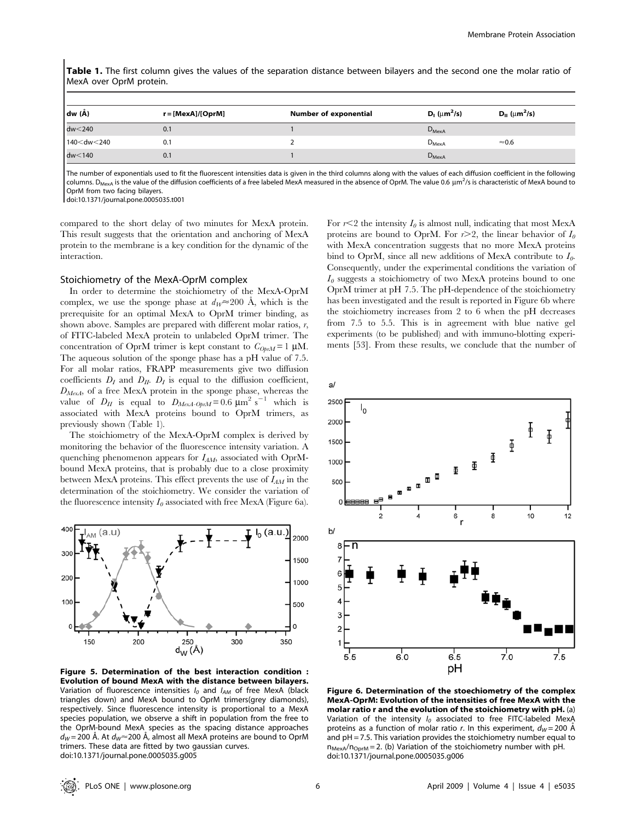Table 1. The first column gives the values of the separation distance between bilayers and the second one the molar ratio of MexA over OprM protein.

| dw (Å)                                                                                                                   | $r = [MexA]/[OprM]$ | <b>Number of exponential</b> | $D_1$ ( $\mu$ m <sup>2</sup> /s) | $D_{II}$ ( $\mu$ m <sup>2</sup> /s) |
|--------------------------------------------------------------------------------------------------------------------------|---------------------|------------------------------|----------------------------------|-------------------------------------|
| $dw<$ 240                                                                                                                | 0.1                 |                              | $D_{\text{MexA}}$                |                                     |
| 140 <dw<240< td=""><td>0.1</td><td></td><td><math>D_{\text{MexA}}</math></td><td><math>\approx 0.6</math></td></dw<240<> | 0.1                 |                              | $D_{\text{MexA}}$                | $\approx 0.6$                       |
| dw<140                                                                                                                   | 0.1                 |                              | $D_{MexA}$                       |                                     |

The number of exponentials used to fit the fluorescent intensities data is given in the third columns along with the values of each diffusion coefficient in the following columns. D<sub>MexA</sub> is the value of the diffusion coefficients of a free labeled MexA measured in the absence of OprM. The value 0.6  $\mu$ m<sup>2</sup>/s is characteristic of MexA bound to OprM from two facing bilayers.

doi:10.1371/journal.pone.0005035.t001

compared to the short delay of two minutes for MexA protein. This result suggests that the orientation and anchoring of MexA protein to the membrane is a key condition for the dynamic of the interaction.

#### Stoichiometry of the MexA-OprM complex

In order to determine the stoichiometry of the MexA-OprM complex, we use the sponge phase at  $d_W \approx 200$  Å, which is the prerequisite for an optimal MexA to OprM trimer binding, as shown above. Samples are prepared with different molar ratios, r, of FITC-labeled MexA protein to unlabeled OprM trimer. The concentration of OprM trimer is kept constant to  $C_{0\nu\mu} = 1 \mu M$ . The aqueous solution of the sponge phase has a pH value of 7.5. For all molar ratios, FRAPP measurements give two diffusion coefficients  $D_I$  and  $D_{II}$ .  $D_I$  is equal to the diffusion coefficient,  $D_{\text{MexA}}$ , of a free MexA protein in the sponge phase, whereas the value of  $D_{II}$  is equal to  $D_{MexA-OprM} = 0.6 \text{ }\mu\text{m}^2 \text{ s}^{-1}$  which is associated with MexA proteins bound to OprM trimers, as previously shown (Table 1).

The stoichiometry of the MexA-OprM complex is derived by monitoring the behavior of the fluorescence intensity variation. A quenching phenomenon appears for  $I_{AM}$ , associated with OprMbound MexA proteins, that is probably due to a close proximity between MexA proteins. This effect prevents the use of  $I_{AM}$  in the determination of the stoichiometry. We consider the variation of the fluorescence intensity  $I_0$  associated with free MexA (Figure 6a).



Figure 5. Determination of the best interaction condition : Evolution of bound MexA with the distance between bilayers. Variation of fluorescence intensities  $I_0$  and  $I_{AM}$  of free MexA (black triangles down) and MexA bound to OprM trimers(grey diamonds), respectively. Since fluorescence intensity is proportional to a MexA species population, we observe a shift in population from the free to the OprM-bound MexA species as the spacing distance approaches  $d_W = 200$  Å. At  $d_W \approx 200$  Å, almost all MexA proteins are bound to OprM trimers. These data are fitted by two gaussian curves. doi:10.1371/journal.pone.0005035.g005

For  $r<2$  the intensity  $I_0$  is almost null, indicating that most MexA proteins are bound to OprM. For  $r > 2$ , the linear behavior of  $I_0$ with MexA concentration suggests that no more MexA proteins bind to OprM, since all new additions of MexA contribute to  $I_0$ . Consequently, under the experimental conditions the variation of  $I_0$  suggests a stoichiometry of two MexA proteins bound to one OprM trimer at pH 7.5. The pH-dependence of the stoichiometry has been investigated and the result is reported in Figure 6b where the stoichiometry increases from 2 to 6 when the pH decreases from 7.5 to 5.5. This is in agreement with blue native gel experiments (to be published) and with immuno-blotting experiments [53]. From these results, we conclude that the number of



Figure 6. Determination of the stoechiometry of the complex MexA-OprM: Evolution of the intensities of free MexA with the molar ratio r and the evolution of the stoichiometry with pH. (a) Variation of the intensity  $I_0$  associated to free FITC-labeled MexA proteins as a function of molar ratio r. In this experiment,  $d_W = 200 \text{ Å}$ and  $pH = 7.5$ . This variation provides the stoichiometry number equal to  $n_{\text{Mexa}}/n_{\text{OorM}} = 2$ . (b) Variation of the stoichiometry number with pH. doi:10.1371/journal.pone.0005035.g006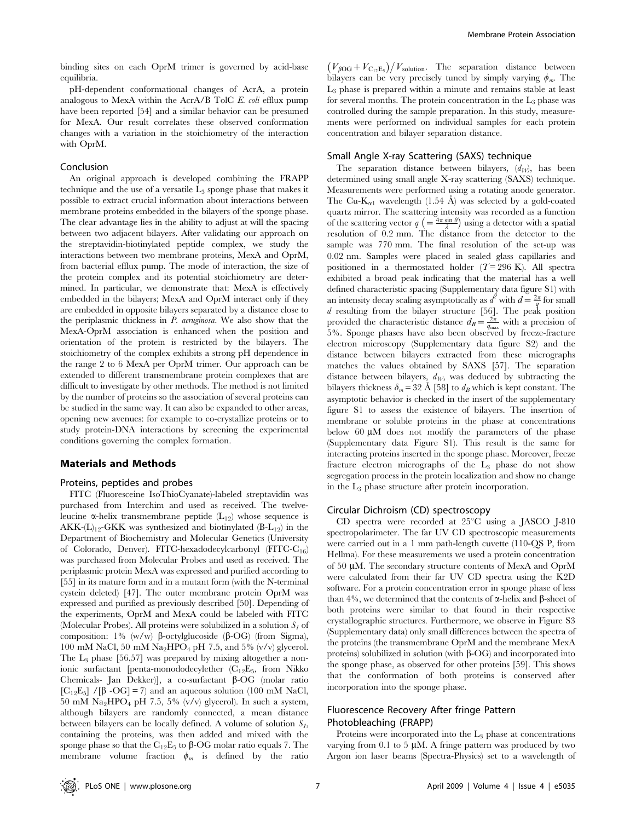binding sites on each OprM trimer is governed by acid-base equilibria.

pH-dependent conformational changes of AcrA, a protein analogous to MexA within the AcrA/B TolC E. coli efflux pump have been reported [54] and a similar behavior can be presumed for MexA. Our result correlates these observed conformation changes with a variation in the stoichiometry of the interaction with OprM.

#### Conclusion

An original approach is developed combining the FRAPP technique and the use of a versatile  $L_3$  sponge phase that makes it possible to extract crucial information about interactions between membrane proteins embedded in the bilayers of the sponge phase. The clear advantage lies in the ability to adjust at will the spacing between two adjacent bilayers. After validating our approach on the streptavidin-biotinylated peptide complex, we study the interactions between two membrane proteins, MexA and OprM, from bacterial efflux pump. The mode of interaction, the size of the protein complex and its potential stoichiometry are determined. In particular, we demonstrate that: MexA is effectively embedded in the bilayers; MexA and OprM interact only if they are embedded in opposite bilayers separated by a distance close to the periplasmic thickness in P. aeruginosa. We also show that the MexA-OprM association is enhanced when the position and orientation of the protein is restricted by the bilayers. The stoichiometry of the complex exhibits a strong pH dependence in the range 2 to 6 MexA per OprM trimer. Our approach can be extended to different transmembrane protein complexes that are difficult to investigate by other methods. The method is not limited by the number of proteins so the association of several proteins can be studied in the same way. It can also be expanded to other areas, opening new avenues: for example to co-crystallize proteins or to study protein-DNA interactions by screening the experimental conditions governing the complex formation.

## Materials and Methods

#### Proteins, peptides and probes

FITC (Fluoresceine IsoThioCyanate)-labeled streptavidin was purchased from Interchim and used as received. The twelveleucine  $\alpha$ -helix transmembrane peptide (L<sub>12</sub>) whose sequence is AKK- $(L)_{12}$ -GKK was synthesized and biotinylated (B-L<sub>12</sub>) in the Department of Biochemistry and Molecular Genetics (University of Colorado, Denver). FITC-hexadodecylcarbonyl (FITC-C<sub>16</sub>) was purchased from Molecular Probes and used as received. The periplasmic protein MexA was expressed and purified according to [55] in its mature form and in a mutant form (with the N-terminal cystein deleted) [47]. The outer membrane protein OprM was expressed and purified as previously described [50]. Depending of the experiments, OprM and MexA could be labeled with FITC (Molecular Probes). All proteins were solubilized in a solution  $S<sub>I</sub>$  of composition:  $1\%$  (w/w)  $\beta$ -octylglucoside ( $\beta$ -OG) (from Sigma), 100 mM NaCl, 50 mM Na<sub>2</sub>HPO<sub>4</sub> pH 7.5, and 5% (v/v) glycerol. The  $L_3$  phase [56,57] was prepared by mixing altogether a nonionic surfactant [penta-monododecylether  $(C_{12}E_5,$  from Nikko Chemicals- Jan Dekker)], a co-surfactant  $\beta$ -OG (molar ratio [ $C_{12}E_5$ ] /[ $\beta$  -OG] = 7) and an aqueous solution (100 mM NaCl, 50 mM  $\text{Na}_2\text{HPO}_4$  pH 7.5, 5% (v/v) glycerol). In such a system, although bilayers are randomly connected, a mean distance between bilayers can be locally defined. A volume of solution  $S_I$ , containing the proteins, was then added and mixed with the sponge phase so that the  $C_{12}E_5$  to  $\beta$ -OG molar ratio equals 7. The membrane volume fraction  $\phi_m$  is defined by the ratio

 $(V_{\beta\text{OG}}+V_{\text{C}_1\text{E}_5})/V_{\text{solution}}$ . The separation distance between bilayers can be very precisely tuned by simply varying  $\phi_m$ . The L3 phase is prepared within a minute and remains stable at least for several months. The protein concentration in the  $L_3$  phase was controlled during the sample preparation. In this study, measurements were performed on individual samples for each protein concentration and bilayer separation distance.

#### Small Angle X-ray Scattering (SAXS) technique

The separation distance between bilayers,  $(d_W)$ , has been determined using small angle X-ray scattering (SAXS) technique. Measurements were performed using a rotating anode generator. The Cu-K<sub> $\alpha$ 1</sub> wavelength (1.54 Å) was selected by a gold-coated quartz mirror. The scattering intensity was recorded as a function of the scattering vector  $q = \frac{4\pi \sin \theta}{\lambda}$  using a detector with a spatial resolution of 0.2 mm. The distance from the detector to the sample was 770 mm. The final resolution of the set-up was 0.02 nm. Samples were placed in sealed glass capillaries and positioned in a thermostated holder ( $T= 296$  K). All spectra exhibited a broad peak indicating that the material has a well defined characteristic spacing (Supplementary data figure S1) with an intensity decay scaling asymptotically as  $d^2$  with  $d = \frac{2\pi}{q}$  for small d resulting from the bilayer structure [56]. The peak position provided the characteristic distance  $d_B = \frac{2\pi}{q_{\text{max}}}$  with a precision of 5%. Sponge phases have also been observed by freeze-fracture electron microscopy (Supplementary data figure S2) and the distance between bilayers extracted from these micrographs matches the values obtained by SAXS [57]. The separation distance between bilayers,  $d_W$ , was deduced by subtracting the bilayers thickness  $\delta_m$  = 32 Å [58] to  $d_B$  which is kept constant. The asymptotic behavior is checked in the insert of the supplementary figure S1 to assess the existence of bilayers. The insertion of membrane or soluble proteins in the phase at concentrations below 60  $\mu$ M does not modify the parameters of the phase (Supplementary data Figure S1). This result is the same for interacting proteins inserted in the sponge phase. Moreover, freeze fracture electron micrographs of the  $L_3$  phase do not show segregation process in the protein localization and show no change in the L3 phase structure after protein incorporation.

#### Circular Dichroism (CD) spectroscopy

CD spectra were recorded at  $25^{\circ}$ C using a JASCO J-810 spectropolarimeter. The far UV CD spectroscopic measurements were carried out in a 1 mm path-length cuvette (110-QS P, from Hellma). For these measurements we used a protein concentration of 50 µM. The secondary structure contents of MexA and OprM were calculated from their far UV CD spectra using the K2D software. For a protein concentration error in sponge phase of less than 4%, we determined that the contents of  $\alpha$ -helix and  $\beta$ -sheet of both proteins were similar to that found in their respective crystallographic structures. Furthermore, we observe in Figure S3 (Supplementary data) only small differences between the spectra of the proteins (the transmembrane OprM and the membrane MexA proteins) solubilized in solution (with  $\beta$ -OG) and incorporated into the sponge phase, as observed for other proteins [59]. This shows that the conformation of both proteins is conserved after incorporation into the sponge phase.

## Fluorescence Recovery After fringe Pattern Photobleaching (FRAPP)

Proteins were incorporated into the L<sub>3</sub> phase at concentrations varying from 0.1 to 5  $\mu$ M. A fringe pattern was produced by two Argon ion laser beams (Spectra-Physics) set to a wavelength of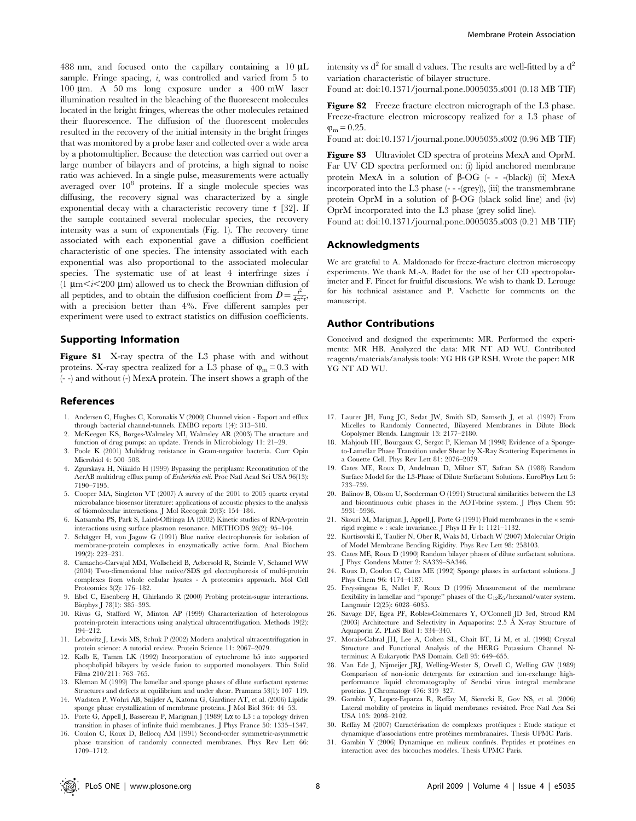488 nm, and focused onto the capillary containing a  $10 \mu L$ sample. Fringe spacing,  $i$ , was controlled and varied from  $5$  to 100 mm. A 50 ms long exposure under a 400 mW laser illumination resulted in the bleaching of the fluorescent molecules located in the bright fringes, whereas the other molecules retained their fluorescence. The diffusion of the fluorescent molecules resulted in the recovery of the initial intensity in the bright fringes that was monitored by a probe laser and collected over a wide area by a photomultiplier. Because the detection was carried out over a large number of bilayers and of proteins, a high signal to noise ratio was achieved. In a single pulse, measurements were actually averaged over 108 proteins. If a single molecule species was diffusing, the recovery signal was characterized by a single exponential decay with a characteristic recovery time  $\tau$  [32]. If the sample contained several molecular species, the recovery intensity was a sum of exponentials (Fig. 1). The recovery time associated with each exponential gave a diffusion coefficient characteristic of one species. The intensity associated with each exponential was also proportional to the associated molecular species. The systematic use of at least  $4$  interfringe sizes  $i$ (1  $\mu$ m < $i$  < 200  $\mu$ m) allowed us to check the Brownian diffusion of all peptides, and to obtain the diffusion coefficient from  $D = \frac{i^2}{4\pi^2 \tau}$ , with a precision better than 4%. Five different samples per experiment were used to extract statistics on diffusion coefficients.

## Supporting Information

Figure S1 X-ray spectra of the L3 phase with and without proteins. X-ray spectra realized for a L3 phase of  $\varphi_m = 0.3$  with (- -) and without (-) MexA protein. The insert shows a graph of the

#### References

- 1. Andersen C, Hughes C, Koronakis V (2000) Chunnel vision Export and efflux through bacterial channel-tunnels. EMBO reports 1(4): 313–318.
- 2. McKeegen KS, Borges-Walmsley MI, Walmsley AR (2003) The structure and function of drug pumps: an update. Trends in Microbiology 11: 21–29.
- 3. Poole K (2001) Multidrug resistance in Gram-negative bacteria. Curr Opin Microbiol 4: 500–508.
- 4. Zgurskaya H, Nikaido H (1999) Bypassing the periplasm: Reconstitution of the AcrAB multidrug efflux pump of Escherichia coli. Proc Natl Acad Sci USA 96(13): 7190–7195.
- 5. Cooper MA, Singleton VT (2007) A survey of the 2001 to 2005 quartz crystal microbalance biosensor literature: applications of acoustic physics to the analysis of biomolecular interactions. J Mol Recognit 20(3): 154–184.
- 6. Katsamba PS, Park S, Laird-Offringa IA (2002) Kinetic studies of RNA-protein interactions using surface plasmon resonance. METHODS 26(2): 95–104.
- 7. Schägger H, von Jagow G (1991) Blue native electrophoresis for isolation of membrane-protein complexes in enzymatically active form. Anal Biochem 199(2): 223–231.
- 8. Camacho-Carvajal MM, Wollscheid B, Aebersold R, Steimle V, Schamel WW (2004) Two-dimensional blue native/SDS gel electrophoresis of multi-protein complexes from whole cellular lysates - A proteomics approach. Mol Cell Proteomics 3(2): 176–182.
- 9. Ebel C, Eisenberg H, Ghirlando R (2000) Probing protein-sugar interactions. Biophys J 78(1): 385–393.
- 10. Rivas G, Stafford W, Minton AP (1999) Characterization of heterologous protein-protein interactions using analytical ultracentrifugation. Methods 19(2): 194–212.
- 11. Lebowitz J, Lewis MS, Schuk P (2002) Modern analytical ultracentrifugation in protein science: A tutorial review. Protein Science 11: 2067–2079.
- 12. Kalb E, Tamm LK (1992) Incorporation of cytochrome b5 into supported phospholipid bilayers by vesicle fusion to supported monolayers. Thin Solid Films 210/211: 763–765.
- 13. Kleman M (1999) The lamellar and sponge phases of dilute surfactant systems: Structures and defects at equilibrium and under shear. Pramana 53(1): 107–119.
- 14. Wadsten P, Wöhri AB, Snijder A, Katona G, Gardiner AT, et al. (2006) Lipidic sponge phase crystallization of membrane proteins. J Mol Biol 364: 44–53.
- 15. Porte G, Appell J, Bassereau P, Marignan J (1989) La to L3 : a topology driven transition in phases of infinite fluid membranes. J Phys France 50: 1335–1347.
- 16. Coulon C, Roux D, Bellocq AM (1991) Second-order symmetric-asymmetric phase transition of randomly connected membranes. Phys Rev Lett 66: 1709–1712.

intensity vs  $d^2$  for small d values. The results are well-fitted by a  $d^2$ variation characteristic of bilayer structure.

Found at: doi:10.1371/journal.pone.0005035.s001 (0.18 MB TIF)

Figure S2 Freeze fracture electron micrograph of the L3 phase. Freeze-fracture electron microscopy realized for a L3 phase of  $\varphi_{\rm m} = 0.25$ .

Found at: doi:10.1371/journal.pone.0005035.s002 (0.96 MB TIF)

Figure S3 Ultraviolet CD spectra of proteins MexA and OprM. Far UV CD spectra performed on: (i) lipid anchored membrane protein MexA in a solution of  $\beta$ -OG (- - -(black)) (ii) MexA incorporated into the L3 phase  $(- -{(\text{grey})})$ , (iii) the transmembrane protein OprM in a solution of  $\beta$ -OG (black solid line) and (iv) OprM incorporated into the L3 phase (grey solid line).

Found at: doi:10.1371/journal.pone.0005035.s003 (0.21 MB TIF)

#### Acknowledgments

We are grateful to A. Maldonado for freeze-fracture electron microscopy experiments. We thank M-A. Badet for the use of her CD spectropolarimeter and F. Pincet for fruitful discussions. We wish to thank D. Lerouge for his technical asistance and P. Vachette for comments on the manuscript.

#### Author Contributions

Conceived and designed the experiments: MR. Performed the experiments: MR HB. Analyzed the data: MR NT AD WU. Contributed reagents/materials/analysis tools: YG HB GP RSH. Wrote the paper: MR YG NT AD WU.

- 17. Laurer JH, Fung JC, Sedat JW, Smith SD, Samseth J, et al. (1997) From Micelles to Randomly Connected, Bilayered Membranes in Dilute Block Copolymer Blends. Langmuir 13: 2177–2180.
- 18. Mahjoub HF, Bourgaux C, Sergot P, Kleman M (1998) Evidence of a Spongeto-Lamellar Phase Transition under Shear by X-Ray Scattering Experiments in a Couette Cell. Phys Rev Lett 81: 2076–2079.
- 19. Cates ME, Roux D, Andelman D, Milner ST, Safran SA (1988) Random Surface Model for the L3-Phase of Dilute Surfactant Solutions. EuroPhys Lett 5: 733–739.
- 20. Balinov B, Olsson U, Soederman O (1991) Structural similarities between the L3 and bicontinuous cubic phases in the AOT-brine system. J Phys Chem 95: 5931–5936.
- 21. Skouri M, Marignan J, Appell J, Porte G (1991) Fluid membranes in the « semirigid regime » : scale invariance. J Phys II Fr 1: 1121–1132.
- 22. Kurtisovski E, Taulier N, Ober R, Waks M, Urbach W (2007) Molecular Origin of Model Membrane Bending Rigidity. Phys Rev Lett 98: 258103.
- 23. Cates ME, Roux D (1990) Random bilayer phases of dilute surfactant solutions. J Phys: Condens Matter 2: SA339–SA346.
- 24. Roux D, Coulon C, Cates ME (1992) Sponge phases in surfactant solutions. J Phys Chem 96: 4174–4187.
- 25. Freyssingeas E, Nallet F, Roux D (1996) Measurement of the membrane flexibility in lamellar and ''sponge'' phases of the  $\rm{C}_{12}E_5/hexanol/water$  system. Langmuir 12(25): 6028–6035.
- 26. Savage DF, Egea PF, Robles-Colmenares Y, O'Connell JD 3rd, Stroud RM (2003) Architecture and Selectivity in Aquaporins: 2.5 Å X-ray Structure of Aquaporin Z. PLoS Biol 1: 334–340.
- 27. Morais-Cabral JH, Lee A, Cohen SL, Chait BT, Li M, et al. (1998) Crystal Structure and Functional Analysis of the HERG Potassium Channel Nterminus: A Eukaryotic PAS Domain. Cell 95: 649–655.
- 28. Van Ede J, Nijmeijer JRJ, Welling-Wester S, Orvell C, Welling GW (1989) Comparison of non-ionic detergents for extraction and ion-exchange highperformance liquid chromatography of Sendai virus integral membrane proteins. J Chromatogr 476: 319–327.
- 29. Gambin Y, Lopez-Esparza R, Reffay M, Sierecki E, Gov NS, et al. (2006) Lateral mobility of proteins in liquid membranes revisited. Proc Natl Aca Sci USA 103: 2098–2102.
- 30. Reffay M (2007) Caractérisation de complexes protéiques : Etude statique et dynamique d'associations entre prote´ines membranaires. Thesis UPMC Paris.
- 31. Gambin Y (2006) Dynamique en milieux confinés. Peptides et protéines en interaction avec des bicouches modèles. Thesis UPMC Paris.